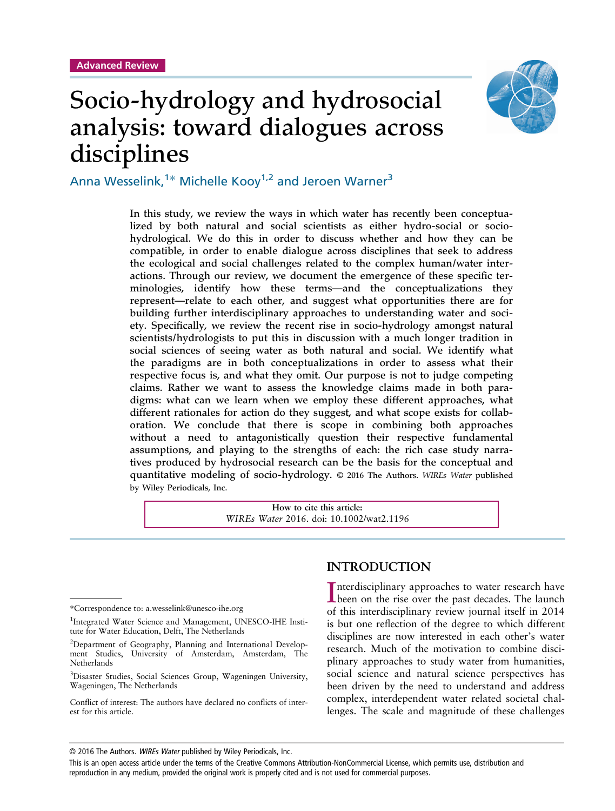# Socio-hydrology and hydrosocial analysis: toward dialogues across disciplines



Anna Wesselink,<sup>1\*</sup> Michelle Kooy<sup>1,2</sup> and Jeroen Warner<sup>3</sup>

In this study, we review the ways in which water has recently been conceptualized by both natural and social scientists as either hydro-social or sociohydrological. We do this in order to discuss whether and how they can be compatible, in order to enable dialogue across disciplines that seek to address the ecological and social challenges related to the complex human/water interactions. Through our review, we document the emergence of these specific terminologies, identify how these terms—and the conceptualizations they represent—relate to each other, and suggest what opportunities there are for building further interdisciplinary approaches to understanding water and society. Specifically, we review the recent rise in socio-hydrology amongst natural scientists/hydrologists to put this in discussion with a much longer tradition in social sciences of seeing water as both natural and social. We identify what the paradigms are in both conceptualizations in order to assess what their respective focus is, and what they omit. Our purpose is not to judge competing claims. Rather we want to assess the knowledge claims made in both paradigms: what can we learn when we employ these different approaches, what different rationales for action do they suggest, and what scope exists for collaboration. We conclude that there is scope in combining both approaches without a need to antagonistically question their respective fundamental assumptions, and playing to the strengths of each: the rich case study narratives produced by hydrosocial research can be the basis for the conceptual and quantitative modeling of socio-hydrology. © 2016 The Authors. *WIREs Water* published by Wiley Periodicals, Inc.

> **How to cite this article:** *WIREs Water* 2016. doi: 10.1002/wat2.1196

# **INTRODUCTION**

Interdisciplinary approaches to water research have<br>been on the rise over the past decades. The launch nterdisciplinary approaches to water research have of this interdisciplinary review journal itself in 2014 is but one reflection of the degree to which different disciplines are now interested in each other's water research. Much of the motivation to combine disciplinary approaches to study water from humanities, social science and natural science perspectives has been driven by the need to understand and address complex, interdependent water related societal challenges. The scale and magnitude of these challenges

<sup>\*</sup>Correspondence to: a.wesselink@unesco-ihe.org

<sup>&</sup>lt;sup>1</sup>Integrated Water Science and Management, UNESCO-IHE Institute for Water Education, Delft, The Netherlands

<sup>&</sup>lt;sup>2</sup>Department of Geography, Planning and International Development Studies, University of Amsterdam, Amsterdam, The **Netherlands** 

<sup>3</sup> Disaster Studies, Social Sciences Group, Wageningen University, Wageningen, The Netherlands

Conflict of interest: The authors have declared no conflicts of interest for this article.

<sup>© 2016</sup> The Authors. WIREs Water published by Wiley Periodicals, Inc.

This is an open access article under the terms of the [Creative Commons Attribution-NonCommercial](http://creativecommons.org/licenses/by-nc/4.0/) License, which permits use, distribution and reproduction in any medium, provided the original work is properly cited and is not used for commercial purposes.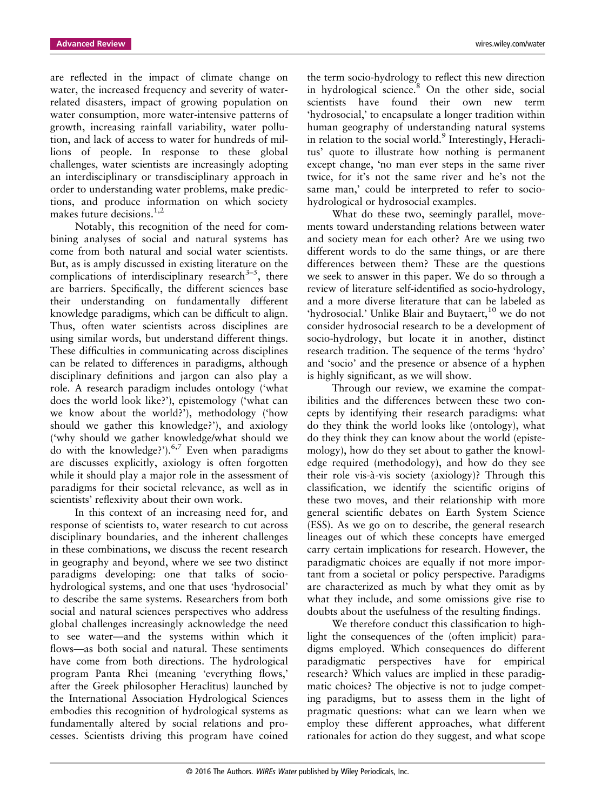are reflected in the impact of climate change on water, the increased frequency and severity of waterrelated disasters, impact of growing population on water consumption, more water-intensive patterns of growth, increasing rainfall variability, water pollution, and lack of access to water for hundreds of millions of people. In response to these global challenges, water scientists are increasingly adopting an interdisciplinary or transdisciplinary approach in order to understanding water problems, make predictions, and produce information on which society makes future decisions.<sup>1,2</sup>

Notably, this recognition of the need for combining analyses of social and natural systems has come from both natural and social water scientists. But, as is amply discussed in existing literature on the complications of interdisciplinary research $3-5$ , there are barriers. Specifically, the different sciences base their understanding on fundamentally different knowledge paradigms, which can be difficult to align. Thus, often water scientists across disciplines are using similar words, but understand different things. These difficulties in communicating across disciplines can be related to differences in paradigms, although disciplinary definitions and jargon can also play a role. A research paradigm includes ontology ('what does the world look like?'), epistemology ('what can we know about the world?'), methodology ('how should we gather this knowledge?'), and axiology ('why should we gather knowledge/what should we do with the knowledge?'). $6,7$  Even when paradigms are discusses explicitly, axiology is often forgotten while it should play a major role in the assessment of paradigms for their societal relevance, as well as in scientists' reflexivity about their own work.

In this context of an increasing need for, and response of scientists to, water research to cut across disciplinary boundaries, and the inherent challenges in these combinations, we discuss the recent research in geography and beyond, where we see two distinct paradigms developing: one that talks of sociohydrological systems, and one that uses 'hydrosocial' to describe the same systems. Researchers from both social and natural sciences perspectives who address global challenges increasingly acknowledge the need to see water—and the systems within which it flows—as both social and natural. These sentiments have come from both directions. The hydrological program Panta Rhei (meaning 'everything flows,' after the Greek philosopher Heraclitus) launched by the International Association Hydrological Sciences embodies this recognition of hydrological systems as fundamentally altered by social relations and processes. Scientists driving this program have coined

the term socio-hydrology to reflect this new direction in hydrological science.<sup>8</sup> On the other side, social scientists have found their own new term 'hydrosocial,' to encapsulate a longer tradition within human geography of understanding natural systems in relation to the social world.<sup>9</sup> Interestingly, Heraclitus' quote to illustrate how nothing is permanent except change, 'no man ever steps in the same river twice, for it's not the same river and he's not the same man,' could be interpreted to refer to sociohydrological or hydrosocial examples.

What do these two, seemingly parallel, movements toward understanding relations between water and society mean for each other? Are we using two different words to do the same things, or are there differences between them? These are the questions we seek to answer in this paper. We do so through a review of literature self-identified as socio-hydrology, and a more diverse literature that can be labeled as 'hydrosocial.' Unlike Blair and Buytaert, $^{10}$  we do not consider hydrosocial research to be a development of socio-hydrology, but locate it in another, distinct research tradition. The sequence of the terms 'hydro' and 'socio' and the presence or absence of a hyphen is highly significant, as we will show.

Through our review, we examine the compatibilities and the differences between these two concepts by identifying their research paradigms: what do they think the world looks like (ontology), what do they think they can know about the world (epistemology), how do they set about to gather the knowledge required (methodology), and how do they see their role vis-à-vis society (axiology)? Through this classification, we identify the scientific origins of these two moves, and their relationship with more general scientific debates on Earth System Science (ESS). As we go on to describe, the general research lineages out of which these concepts have emerged carry certain implications for research. However, the paradigmatic choices are equally if not more important from a societal or policy perspective. Paradigms are characterized as much by what they omit as by what they include, and some omissions give rise to doubts about the usefulness of the resulting findings.

We therefore conduct this classification to highlight the consequences of the (often implicit) paradigms employed. Which consequences do different paradigmatic perspectives have for empirical research? Which values are implied in these paradigmatic choices? The objective is not to judge competing paradigms, but to assess them in the light of pragmatic questions: what can we learn when we employ these different approaches, what different rationales for action do they suggest, and what scope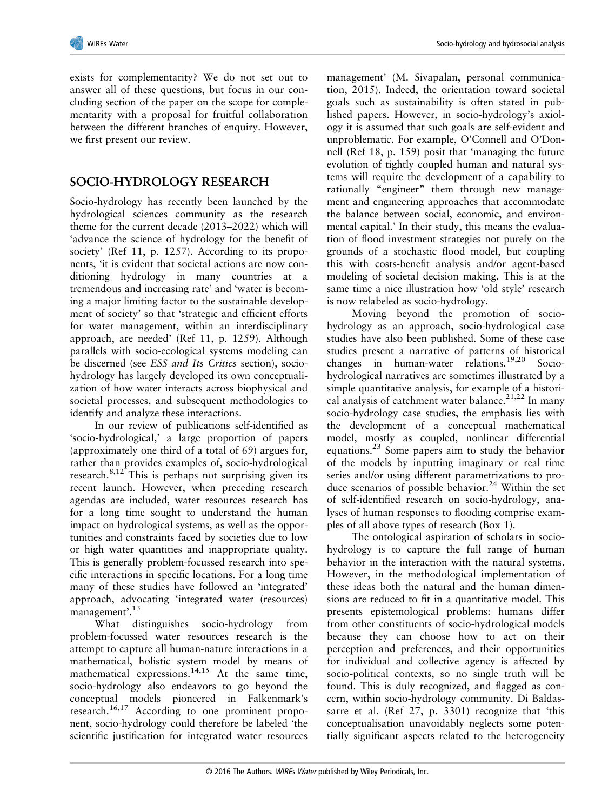exists for complementarity? We do not set out to answer all of these questions, but focus in our concluding section of the paper on the scope for complementarity with a proposal for fruitful collaboration between the different branches of enquiry. However, we first present our review.

# **SOCIO-HYDROLOGY RESEARCH**

Socio-hydrology has recently been launched by the hydrological sciences community as the research theme for the current decade (2013–2022) which will 'advance the science of hydrology for the benefit of society' (Ref 11, p. 1257). According to its proponents, 'it is evident that societal actions are now conditioning hydrology in many countries at a tremendous and increasing rate' and 'water is becoming a major limiting factor to the sustainable development of society' so that 'strategic and efficient efforts for water management, within an interdisciplinary approach, are needed' (Ref 11, p. 1259). Although parallels with socio-ecological systems modeling can be discerned (see *ESS and Its Critics* section), sociohydrology has largely developed its own conceptualization of how water interacts across biophysical and societal processes, and subsequent methodologies to identify and analyze these interactions.

In our review of publications self-identified as 'socio-hydrological,' a large proportion of papers (approximately one third of a total of 69) argues for, rather than provides examples of, socio-hydrological research. $8,12$  This is perhaps not surprising given its recent launch. However, when preceding research agendas are included, water resources research has for a long time sought to understand the human impact on hydrological systems, as well as the opportunities and constraints faced by societies due to low or high water quantities and inappropriate quality. This is generally problem-focussed research into specific interactions in specific locations. For a long time many of these studies have followed an 'integrated' approach, advocating 'integrated water (resources) management'.<sup>13</sup>

What distinguishes socio-hydrology from problem-focussed water resources research is the attempt to capture all human-nature interactions in a mathematical, holistic system model by means of mathematical expressions.<sup>14,15</sup> At the same time, socio-hydrology also endeavors to go beyond the conceptual models pioneered in Falkenmark's research.16,17 According to one prominent proponent, socio-hydrology could therefore be labeled 'the scientific justification for integrated water resources

management' (M. Sivapalan, personal communication, 2015). Indeed, the orientation toward societal goals such as sustainability is often stated in published papers. However, in socio-hydrology's axiology it is assumed that such goals are self-evident and unproblematic. For example, O'Connell and O'Donnell (Ref 18, p. 159) posit that 'managing the future evolution of tightly coupled human and natural systems will require the development of a capability to rationally "engineer" them through new management and engineering approaches that accommodate the balance between social, economic, and environmental capital.' In their study, this means the evaluation of flood investment strategies not purely on the grounds of a stochastic flood model, but coupling this with costs-benefit analysis and/or agent-based modeling of societal decision making. This is at the same time a nice illustration how 'old style' research is now relabeled as socio-hydrology.

Moving beyond the promotion of sociohydrology as an approach, socio-hydrological case studies have also been published. Some of these case studies present a narrative of patterns of historical changes in human-water relations.19,20 Sociohydrological narratives are sometimes illustrated by a simple quantitative analysis, for example of a historical analysis of catchment water balance.<sup>21,22</sup> In many socio-hydrology case studies, the emphasis lies with the development of a conceptual mathematical model, mostly as coupled, nonlinear differential equations.<sup>23</sup> Some papers aim to study the behavior of the models by inputting imaginary or real time series and/or using different parametrizations to produce scenarios of possible behavior.<sup>24</sup> Within the set of self-identified research on socio-hydrology, analyses of human responses to flooding comprise examples of all above types of research (Box 1).

The ontological aspiration of scholars in sociohydrology is to capture the full range of human behavior in the interaction with the natural systems. However, in the methodological implementation of these ideas both the natural and the human dimensions are reduced to fit in a quantitative model. This presents epistemological problems: humans differ from other constituents of socio-hydrological models because they can choose how to act on their perception and preferences, and their opportunities for individual and collective agency is affected by socio-political contexts, so no single truth will be found. This is duly recognized, and flagged as concern, within socio-hydrology community. Di Baldassarre et al. (Ref 27, p. 3301) recognize that 'this conceptualisation unavoidably neglects some potentially significant aspects related to the heterogeneity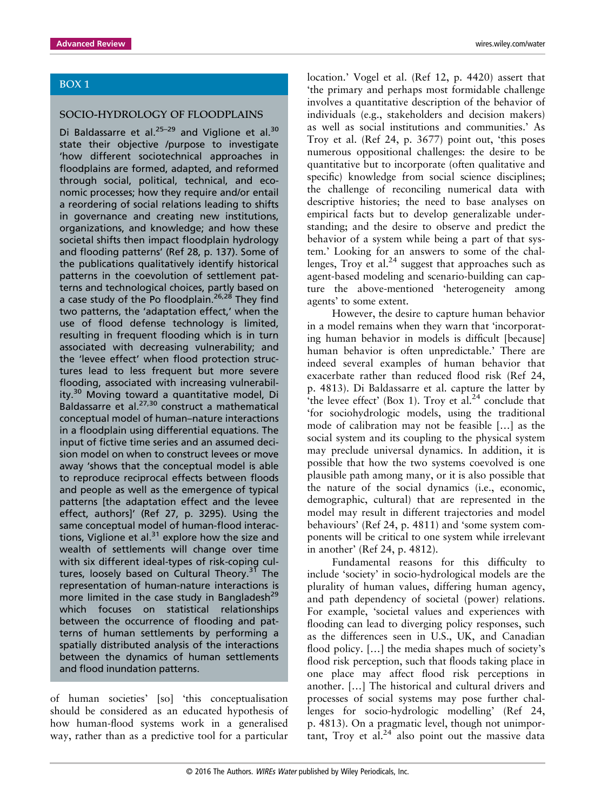#### BOX 1

#### SOCIO-HYDROLOGY OF FLOODPLAINS

Di Baldassarre et al. $25-29$  and Viglione et al.<sup>30</sup> state their objective /purpose to investigate 'how different sociotechnical approaches in floodplains are formed, adapted, and reformed through social, political, technical, and economic processes; how they require and/or entail a reordering of social relations leading to shifts in governance and creating new institutions, organizations, and knowledge; and how these societal shifts then impact floodplain hydrology and flooding patterns' (Ref 28, p. 137). Some of the publications qualitatively identify historical patterns in the coevolution of settlement patterns and technological choices, partly based on a case study of the Po floodplain.<sup>26,28</sup> They find two patterns, the 'adaptation effect,' when the use of flood defense technology is limited, resulting in frequent flooding which is in turn associated with decreasing vulnerability; and the 'levee effect' when flood protection structures lead to less frequent but more severe flooding, associated with increasing vulnerability.<sup>30</sup> Moving toward a quantitative model, Di Baldassarre et al.<sup>27,30</sup> construct a mathematical conceptual model of human–nature interactions in a floodplain using differential equations. The input of fictive time series and an assumed decision model on when to construct levees or move away 'shows that the conceptual model is able to reproduce reciprocal effects between floods and people as well as the emergence of typical patterns [the adaptation effect and the levee effect, authors]' (Ref 27, p. 3295). Using the same conceptual model of human-flood interactions, Viglione et al. $31$  explore how the size and wealth of settlements will change over time with six different ideal-types of risk-coping cultures, loosely based on Cultural Theory.<sup>31</sup> The representation of human-nature interactions is more limited in the case study in Bangladesh $^{29}$ which focuses on statistical relationships between the occurrence of flooding and patterns of human settlements by performing a spatially distributed analysis of the interactions between the dynamics of human settlements and flood inundation patterns.

of human societies' [so] 'this conceptualisation should be considered as an educated hypothesis of how human-flood systems work in a generalised way, rather than as a predictive tool for a particular location.' Vogel et al. (Ref 12, p. 4420) assert that 'the primary and perhaps most formidable challenge involves a quantitative description of the behavior of individuals (e.g., stakeholders and decision makers) as well as social institutions and communities.' As Troy et al. (Ref 24, p. 3677) point out, 'this poses numerous oppositional challenges: the desire to be quantitative but to incorporate (often qualitative and specific) knowledge from social science disciplines; the challenge of reconciling numerical data with descriptive histories; the need to base analyses on empirical facts but to develop generalizable understanding; and the desire to observe and predict the behavior of a system while being a part of that system.' Looking for an answers to some of the challenges, Troy et al. $24$  suggest that approaches such as agent-based modeling and scenario-building can capture the above-mentioned 'heterogeneity among agents' to some extent.

However, the desire to capture human behavior in a model remains when they warn that 'incorporating human behavior in models is difficult [because] human behavior is often unpredictable.' There are indeed several examples of human behavior that exacerbate rather than reduced flood risk (Ref 24, p. 4813). Di Baldassarre et al. capture the latter by 'the levee effect' (Box 1). Troy et al. $^{24}$  conclude that 'for sociohydrologic models, using the traditional mode of calibration may not be feasible […] as the social system and its coupling to the physical system may preclude universal dynamics. In addition, it is possible that how the two systems coevolved is one plausible path among many, or it is also possible that the nature of the social dynamics (i.e., economic, demographic, cultural) that are represented in the model may result in different trajectories and model behaviours' (Ref 24, p. 4811) and 'some system components will be critical to one system while irrelevant in another' (Ref 24, p. 4812).

Fundamental reasons for this difficulty to include 'society' in socio-hydrological models are the plurality of human values, differing human agency, and path dependency of societal (power) relations. For example, 'societal values and experiences with flooding can lead to diverging policy responses, such as the differences seen in U.S., UK, and Canadian flood policy. […] the media shapes much of society's flood risk perception, such that floods taking place in one place may affect flood risk perceptions in another. […] The historical and cultural drivers and processes of social systems may pose further challenges for socio-hydrologic modelling' (Ref 24, p. 4813). On a pragmatic level, though not unimportant, Troy et al.<sup>24</sup> also point out the massive data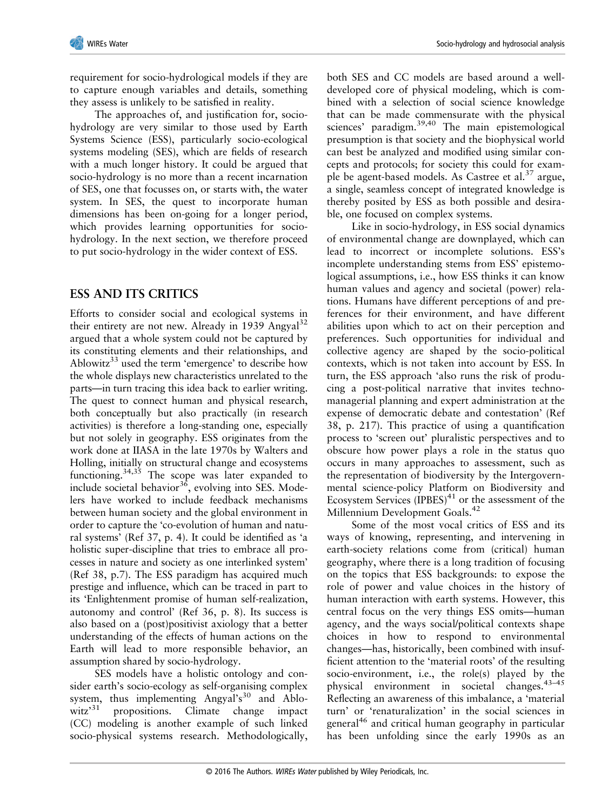requirement for socio-hydrological models if they are to capture enough variables and details, something they assess is unlikely to be satisfied in reality.

The approaches of, and justification for, sociohydrology are very similar to those used by Earth Systems Science (ESS), particularly socio-ecological systems modeling (SES), which are fields of research with a much longer history. It could be argued that socio-hydrology is no more than a recent incarnation of SES, one that focusses on, or starts with, the water system. In SES, the quest to incorporate human dimensions has been on-going for a longer period, which provides learning opportunities for sociohydrology. In the next section, we therefore proceed to put socio-hydrology in the wider context of ESS.

#### **ESS AND ITS CRITICS**

Efforts to consider social and ecological systems in their entirety are not new. Already in 1939 Angyal<sup>32</sup> argued that a whole system could not be captured by its constituting elements and their relationships, and Ablowitz $33$  used the term 'emergence' to describe how the whole displays new characteristics unrelated to the parts—in turn tracing this idea back to earlier writing. The quest to connect human and physical research, both conceptually but also practically (in research activities) is therefore a long-standing one, especially but not solely in geography. ESS originates from the work done at IIASA in the late 1970s by Walters and Holling, initially on structural change and ecosystems functioning.34,35 The scope was later expanded to include societal behavior $36$ , evolving into SES. Modelers have worked to include feedback mechanisms between human society and the global environment in order to capture the 'co-evolution of human and natural systems' (Ref 37, p. 4). It could be identified as 'a holistic super-discipline that tries to embrace all processes in nature and society as one interlinked system' (Ref 38, p.7). The ESS paradigm has acquired much prestige and influence, which can be traced in part to its 'Enlightenment promise of human self-realization, autonomy and control' (Ref 36, p. 8). Its success is also based on a (post)positivist axiology that a better understanding of the effects of human actions on the Earth will lead to more responsible behavior, an assumption shared by socio-hydrology.

SES models have a holistic ontology and consider earth's socio-ecology as self-organising complex system, thus implementing Angyal's<sup>30</sup> and Ablowitz $^{31}$ propositions. Climate change impact (CC) modeling is another example of such linked socio-physical systems research. Methodologically,

both SES and CC models are based around a welldeveloped core of physical modeling, which is combined with a selection of social science knowledge that can be made commensurate with the physical sciences' paradigm.<sup>39,40</sup> The main epistemological presumption is that society and the biophysical world can best be analyzed and modified using similar concepts and protocols; for society this could for example be agent-based models. As Castree et al.<sup>37</sup> argue, a single, seamless concept of integrated knowledge is thereby posited by ESS as both possible and desirable, one focused on complex systems.

Like in socio-hydrology, in ESS social dynamics of environmental change are downplayed, which can lead to incorrect or incomplete solutions. ESS's incomplete understanding stems from ESS' epistemological assumptions, i.e., how ESS thinks it can know human values and agency and societal (power) relations. Humans have different perceptions of and preferences for their environment, and have different abilities upon which to act on their perception and preferences. Such opportunities for individual and collective agency are shaped by the socio-political contexts, which is not taken into account by ESS. In turn, the ESS approach 'also runs the risk of producing a post-political narrative that invites technomanagerial planning and expert administration at the expense of democratic debate and contestation' (Ref 38, p. 217). This practice of using a quantification process to 'screen out' pluralistic perspectives and to obscure how power plays a role in the status quo occurs in many approaches to assessment, such as the representation of biodiversity by the Intergovernmental science-policy Platform on Biodiversity and Ecosystem Services  $(IPBES)^{41}$  or the assessment of the Millennium Development Goals.<sup>42</sup>

Some of the most vocal critics of ESS and its ways of knowing, representing, and intervening in earth-society relations come from (critical) human geography, where there is a long tradition of focusing on the topics that ESS backgrounds: to expose the role of power and value choices in the history of human interaction with earth systems. However, this central focus on the very things ESS omits—human agency, and the ways social/political contexts shape choices in how to respond to environmental changes—has, historically, been combined with insufficient attention to the 'material roots' of the resulting socio-environment, i.e., the role(s) played by the physical environment in societal changes.43–<sup>45</sup> Reflecting an awareness of this imbalance, a 'material turn' or 'renaturalization' in the social sciences in general<sup>46</sup> and critical human geography in particular has been unfolding since the early 1990s as an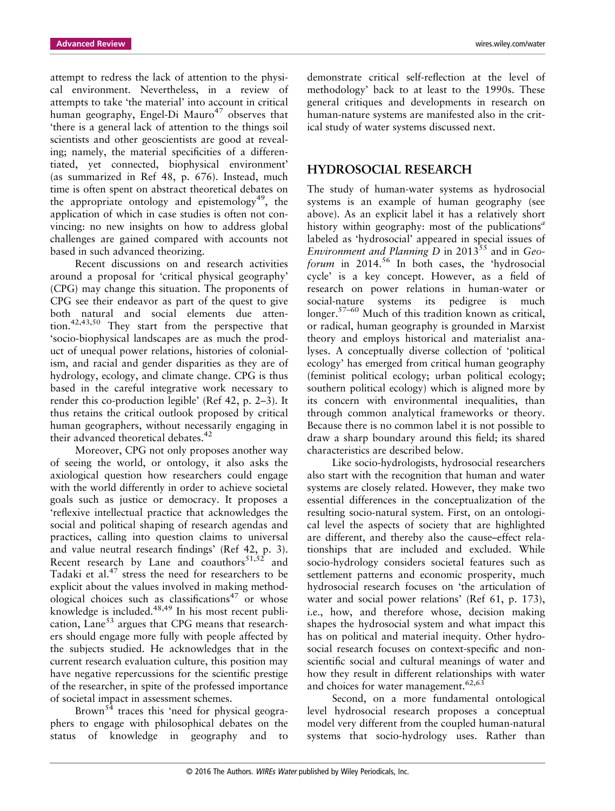attempt to redress the lack of attention to the physical environment. Nevertheless, in a review of attempts to take 'the material' into account in critical human geography, Engel-Di Mauro<sup>47</sup> observes that 'there is a general lack of attention to the things soil scientists and other geoscientists are good at revealing; namely, the material specificities of a differentiated, yet connected, biophysical environment' (as summarized in Ref 48, p. 676). Instead, much time is often spent on abstract theoretical debates on the appropriate ontology and epistemology<sup>49</sup>, the application of which in case studies is often not convincing: no new insights on how to address global challenges are gained compared with accounts not based in such advanced theorizing.

Recent discussions on and research activities around a proposal for 'critical physical geography' (CPG) may change this situation. The proponents of CPG see their endeavor as part of the quest to give both natural and social elements due attention.42,43,50 They start from the perspective that 'socio-biophysical landscapes are as much the product of unequal power relations, histories of colonialism, and racial and gender disparities as they are of hydrology, ecology, and climate change. CPG is thus based in the careful integrative work necessary to render this co-production legible' (Ref 42, p. 2–3). It thus retains the critical outlook proposed by critical human geographers, without necessarily engaging in their advanced theoretical debates.<sup>42</sup>

Moreover, CPG not only proposes another way of seeing the world, or ontology, it also asks the axiological question how researchers could engage with the world differently in order to achieve societal goals such as justice or democracy. It proposes a 'reflexive intellectual practice that acknowledges the social and political shaping of research agendas and practices, calling into question claims to universal and value neutral research findings' (Ref 42, p. 3). Recent research by Lane and coauthors $51,52$  and Tadaki et al.<sup>47</sup> stress the need for researchers to be explicit about the values involved in making methodological choices such as classifications<sup>47</sup> or whose knowledge is included.<sup>48,49</sup> In his most recent publication, Lane<sup>53</sup> argues that CPG means that researchers should engage more fully with people affected by the subjects studied. He acknowledges that in the current research evaluation culture, this position may have negative repercussions for the scientific prestige of the researcher, in spite of the professed importance of societal impact in assessment schemes.

Brown<sup>54</sup> traces this 'need for physical geographers to engage with philosophical debates on the status of knowledge in geography and to

demonstrate critical self-reflection at the level of methodology' back to at least to the 1990s. These general critiques and developments in research on human-nature systems are manifested also in the critical study of water systems discussed next.

#### **HYDROSOCIAL RESEARCH**

The study of human-water systems as hydrosocial systems is an example of human geography (see above). As an explicit label it has a relatively short history within geography: most of the publications*<sup>a</sup>* labeled as 'hydrosocial' appeared in special issues of *Environment and Planning D* in 2013<sup>55</sup> and in *Geoforum* in 2014.<sup>56</sup> In both cases, the 'hydrosocial cycle' is a key concept. However, as a field of research on power relations in human-water or social-nature systems its pedigree is much longer.57–<sup>60</sup> Much of this tradition known as critical, or radical, human geography is grounded in Marxist theory and employs historical and materialist analyses. A conceptually diverse collection of 'political ecology' has emerged from critical human geography (feminist political ecology; urban political ecology; southern political ecology) which is aligned more by its concern with environmental inequalities, than through common analytical frameworks or theory. Because there is no common label it is not possible to draw a sharp boundary around this field; its shared characteristics are described below.

Like socio-hydrologists, hydrosocial researchers also start with the recognition that human and water systems are closely related. However, they make two essential differences in the conceptualization of the resulting socio-natural system. First, on an ontological level the aspects of society that are highlighted are different, and thereby also the cause–effect relationships that are included and excluded. While socio-hydrology considers societal features such as settlement patterns and economic prosperity, much hydrosocial research focuses on 'the articulation of water and social power relations' (Ref 61, p. 173), i.e., how, and therefore whose, decision making shapes the hydrosocial system and what impact this has on political and material inequity. Other hydrosocial research focuses on context-specific and nonscientific social and cultural meanings of water and how they result in different relationships with water and choices for water management. $62,63$ 

Second, on a more fundamental ontological level hydrosocial research proposes a conceptual model very different from the coupled human-natural systems that socio-hydrology uses. Rather than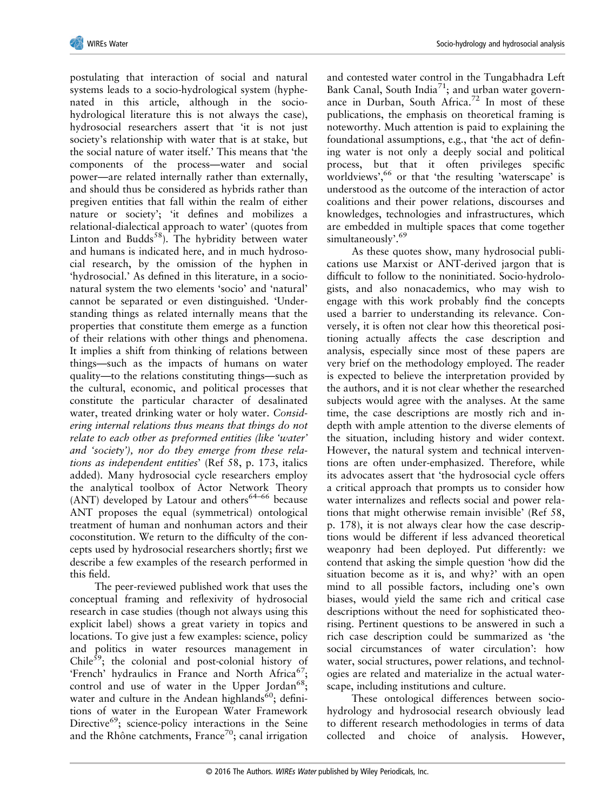

postulating that interaction of social and natural systems leads to a socio-hydrological system (hyphenated in this article, although in the sociohydrological literature this is not always the case), hydrosocial researchers assert that 'it is not just society's relationship with water that is at stake, but the social nature of water itself.' This means that 'the components of the process—water and social power—are related internally rather than externally, and should thus be considered as hybrids rather than pregiven entities that fall within the realm of either nature or society'; 'it defines and mobilizes a relational-dialectical approach to water' (quotes from Linton and Budds<sup>58</sup>). The hybridity between water and humans is indicated here, and in much hydrosocial research, by the omission of the hyphen in 'hydrosocial.' As defined in this literature, in a socionatural system the two elements 'socio' and 'natural' cannot be separated or even distinguished. 'Understanding things as related internally means that the properties that constitute them emerge as a function of their relations with other things and phenomena. It implies a shift from thinking of relations between things—such as the impacts of humans on water quality—to the relations constituting things—such as the cultural, economic, and political processes that constitute the particular character of desalinated water, treated drinking water or holy water. *Considering internal relations thus means that things do not relate to each other as preformed entities (like 'water' and 'society'), nor do they emerge from these relations as independent entities*' (Ref 58, p. 173, italics added). Many hydrosocial cycle researchers employ the analytical toolbox of Actor Network Theory (ANT) developed by Latour and others $64-66$  because ANT proposes the equal (symmetrical) ontological treatment of human and nonhuman actors and their coconstitution. We return to the difficulty of the concepts used by hydrosocial researchers shortly; first we describe a few examples of the research performed in this field.

The peer-reviewed published work that uses the conceptual framing and reflexivity of hydrosocial research in case studies (though not always using this explicit label) shows a great variety in topics and locations. To give just a few examples: science, policy and politics in water resources management in Chile $59$ ; the colonial and post-colonial history of 'French' hydraulics in France and North Africa<sup>67</sup>; control and use of water in the Upper Jordan<sup>68</sup>; water and culture in the Andean highlands<sup>60</sup>; definitions of water in the European Water Framework Directive<sup>69</sup>; science-policy interactions in the Seine and the Rhône catchments, France<sup>70</sup>; canal irrigation

and contested water control in the Tungabhadra Left Bank Canal, South India<sup>71</sup>; and urban water governance in Durban, South Africa.<sup>72</sup> In most of these publications, the emphasis on theoretical framing is noteworthy. Much attention is paid to explaining the foundational assumptions, e.g., that 'the act of defining water is not only a deeply social and political process, but that it often privileges specific worldviews', <sup>66</sup> or that 'the resulting 'waterscape' is understood as the outcome of the interaction of actor coalitions and their power relations, discourses and knowledges, technologies and infrastructures, which are embedded in multiple spaces that come together simultaneously'. 69

As these quotes show, many hydrosocial publications use Marxist or ANT-derived jargon that is difficult to follow to the noninitiated. Socio-hydrologists, and also nonacademics, who may wish to engage with this work probably find the concepts used a barrier to understanding its relevance. Conversely, it is often not clear how this theoretical positioning actually affects the case description and analysis, especially since most of these papers are very brief on the methodology employed. The reader is expected to believe the interpretation provided by the authors, and it is not clear whether the researched subjects would agree with the analyses. At the same time, the case descriptions are mostly rich and indepth with ample attention to the diverse elements of the situation, including history and wider context. However, the natural system and technical interventions are often under-emphasized. Therefore, while its advocates assert that 'the hydrosocial cycle offers a critical approach that prompts us to consider how water internalizes and reflects social and power relations that might otherwise remain invisible' (Ref 58, p. 178), it is not always clear how the case descriptions would be different if less advanced theoretical weaponry had been deployed. Put differently: we contend that asking the simple question 'how did the situation become as it is, and why?' with an open mind to all possible factors, including one's own biases, would yield the same rich and critical case descriptions without the need for sophisticated theorising. Pertinent questions to be answered in such a rich case description could be summarized as 'the social circumstances of water circulation': how water, social structures, power relations, and technologies are related and materialize in the actual waterscape, including institutions and culture.

These ontological differences between sociohydrology and hydrosocial research obviously lead to different research methodologies in terms of data collected and choice of analysis. However,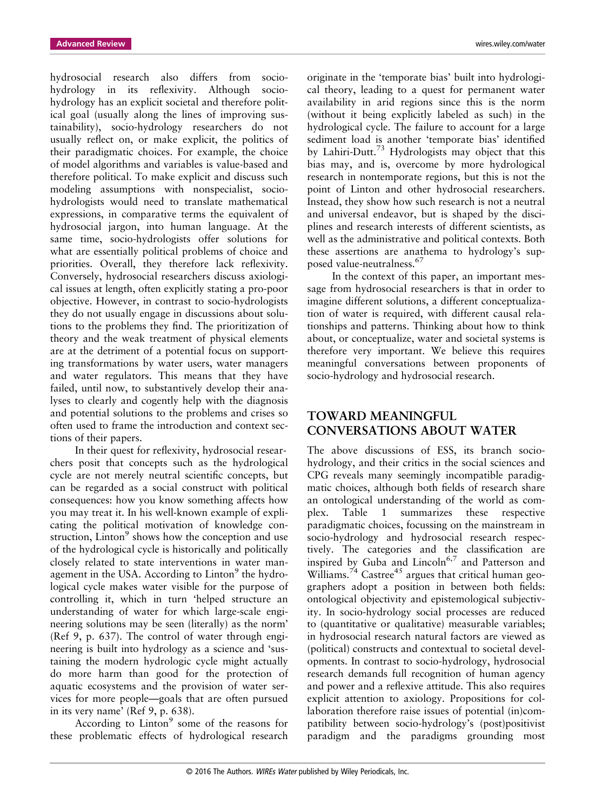hydrosocial research also differs from sociohydrology in its reflexivity. Although sociohydrology has an explicit societal and therefore political goal (usually along the lines of improving sustainability), socio-hydrology researchers do not usually reflect on, or make explicit, the politics of their paradigmatic choices. For example, the choice of model algorithms and variables is value-based and therefore political. To make explicit and discuss such modeling assumptions with nonspecialist, sociohydrologists would need to translate mathematical expressions, in comparative terms the equivalent of hydrosocial jargon, into human language. At the same time, socio-hydrologists offer solutions for what are essentially political problems of choice and priorities. Overall, they therefore lack reflexivity. Conversely, hydrosocial researchers discuss axiological issues at length, often explicitly stating a pro-poor objective. However, in contrast to socio-hydrologists they do not usually engage in discussions about solutions to the problems they find. The prioritization of theory and the weak treatment of physical elements are at the detriment of a potential focus on supporting transformations by water users, water managers and water regulators. This means that they have failed, until now, to substantively develop their analyses to clearly and cogently help with the diagnosis and potential solutions to the problems and crises so often used to frame the introduction and context sections of their papers.

In their quest for reflexivity, hydrosocial researchers posit that concepts such as the hydrological cycle are not merely neutral scientific concepts, but can be regarded as a social construct with political consequences: how you know something affects how you may treat it. In his well-known example of explicating the political motivation of knowledge construction, Linton<sup>9</sup> shows how the conception and use of the hydrological cycle is historically and politically closely related to state interventions in water management in the USA. According to  $Linton<sup>9</sup>$  the hydrological cycle makes water visible for the purpose of controlling it, which in turn 'helped structure an understanding of water for which large-scale engineering solutions may be seen (literally) as the norm' (Ref 9, p. 637). The control of water through engineering is built into hydrology as a science and 'sustaining the modern hydrologic cycle might actually do more harm than good for the protection of aquatic ecosystems and the provision of water services for more people—goals that are often pursued in its very name' (Ref 9, p. 638).

According to  $Linton<sup>9</sup>$  some of the reasons for these problematic effects of hydrological research

originate in the 'temporate bias' built into hydrological theory, leading to a quest for permanent water availability in arid regions since this is the norm (without it being explicitly labeled as such) in the hydrological cycle. The failure to account for a large sediment load is another 'temporate bias' identified by Lahiri-Dutt.<sup>73</sup> Hydrologists may object that this bias may, and is, overcome by more hydrological research in nontemporate regions, but this is not the point of Linton and other hydrosocial researchers. Instead, they show how such research is not a neutral and universal endeavor, but is shaped by the disciplines and research interests of different scientists, as well as the administrative and political contexts. Both these assertions are anathema to hydrology's supposed value-neutralness.<sup>67</sup>

In the context of this paper, an important message from hydrosocial researchers is that in order to imagine different solutions, a different conceptualization of water is required, with different causal relationships and patterns. Thinking about how to think about, or conceptualize, water and societal systems is therefore very important. We believe this requires meaningful conversations between proponents of socio-hydrology and hydrosocial research.

#### **TOWARD MEANINGFUL CONVERSATIONS ABOUT WATER**

The above discussions of ESS, its branch sociohydrology, and their critics in the social sciences and CPG reveals many seemingly incompatible paradigmatic choices, although both fields of research share an ontological understanding of the world as complex. Table 1 summarizes these respective paradigmatic choices, focussing on the mainstream in socio-hydrology and hydrosocial research respectively. The categories and the classification are inspired by Guba and Lincoln<sup>6,7</sup> and Patterson and Williams.<sup>74</sup> Castree<sup>45</sup> argues that critical human geographers adopt a position in between both fields: ontological objectivity and epistemological subjectivity. In socio-hydrology social processes are reduced to (quantitative or qualitative) measurable variables; in hydrosocial research natural factors are viewed as (political) constructs and contextual to societal developments. In contrast to socio-hydrology, hydrosocial research demands full recognition of human agency and power and a reflexive attitude. This also requires explicit attention to axiology. Propositions for collaboration therefore raise issues of potential (in)compatibility between socio-hydrology's (post)positivist paradigm and the paradigms grounding most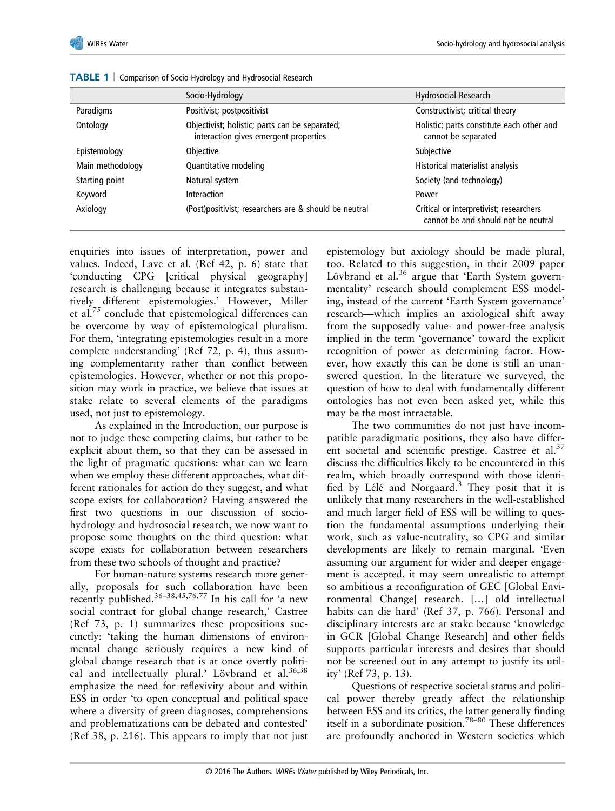|                  | Socio-Hydrology                                                                         | Hydrosocial Research                                                           |
|------------------|-----------------------------------------------------------------------------------------|--------------------------------------------------------------------------------|
| Paradigms        | Positivist; postpositivist                                                              | Constructivist; critical theory                                                |
| Ontology         | Objectivist; holistic; parts can be separated;<br>interaction gives emergent properties | Holistic; parts constitute each other and<br>cannot be separated               |
| Epistemology     | Objective                                                                               | Subjective                                                                     |
| Main methodology | Quantitative modeling                                                                   | Historical materialist analysis                                                |
| Starting point   | Natural system                                                                          | Society (and technology)                                                       |
| Keyword          | Interaction                                                                             | Power                                                                          |
| Axiology         | (Post)positivist; researchers are & should be neutral                                   | Critical or interpretivist; researchers<br>cannot be and should not be neutral |

**TABLE 1** | Comparison of Socio-Hydrology and Hydrosocial Research

enquiries into issues of interpretation, power and values. Indeed, Lave et al. (Ref 42, p. 6) state that 'conducting CPG [critical physical geography] research is challenging because it integrates substantively different epistemologies.' However, Miller et al.<sup>75</sup> conclude that epistemological differences can be overcome by way of epistemological pluralism. For them, 'integrating epistemologies result in a more complete understanding' (Ref 72, p. 4), thus assuming complementarity rather than conflict between epistemologies. However, whether or not this proposition may work in practice, we believe that issues at stake relate to several elements of the paradigms used, not just to epistemology.

As explained in the Introduction, our purpose is not to judge these competing claims, but rather to be explicit about them, so that they can be assessed in the light of pragmatic questions: what can we learn when we employ these different approaches, what different rationales for action do they suggest, and what scope exists for collaboration? Having answered the first two questions in our discussion of sociohydrology and hydrosocial research, we now want to propose some thoughts on the third question: what scope exists for collaboration between researchers from these two schools of thought and practice?

For human-nature systems research more generally, proposals for such collaboration have been recently published.36–38,45,76,77 In his call for 'a new social contract for global change research,' Castree (Ref 73, p. 1) summarizes these propositions succinctly: 'taking the human dimensions of environmental change seriously requires a new kind of global change research that is at once overtly political and intellectually plural.' Lövbrand et al.<sup>36,38</sup> emphasize the need for reflexivity about and within ESS in order 'to open conceptual and political space where a diversity of green diagnoses, comprehensions and problematizations can be debated and contested' (Ref 38, p. 216). This appears to imply that not just

epistemology but axiology should be made plural, too. Related to this suggestion, in their 2009 paper Lövbrand et al.<sup>36</sup> argue that 'Earth System governmentality' research should complement ESS modeling, instead of the current 'Earth System governance' research—which implies an axiological shift away from the supposedly value- and power-free analysis implied in the term 'governance' toward the explicit recognition of power as determining factor. However, how exactly this can be done is still an unanswered question. In the literature we surveyed, the question of how to deal with fundamentally different ontologies has not even been asked yet, while this may be the most intractable.

The two communities do not just have incompatible paradigmatic positions, they also have different societal and scientific prestige. Castree et al.<sup>37</sup> discuss the difficulties likely to be encountered in this realm, which broadly correspond with those identified by Lélé and Norgaard. $3$  They posit that it is unlikely that many researchers in the well-established and much larger field of ESS will be willing to question the fundamental assumptions underlying their work, such as value-neutrality, so CPG and similar developments are likely to remain marginal. 'Even assuming our argument for wider and deeper engagement is accepted, it may seem unrealistic to attempt so ambitious a reconfiguration of GEC [Global Environmental Change] research. […] old intellectual habits can die hard' (Ref 37, p. 766). Personal and disciplinary interests are at stake because 'knowledge in GCR [Global Change Research] and other fields supports particular interests and desires that should not be screened out in any attempt to justify its utility' (Ref 73, p. 13).

Questions of respective societal status and political power thereby greatly affect the relationship between ESS and its critics, the latter generally finding itself in a subordinate position.78–<sup>80</sup> These differences are profoundly anchored in Western societies which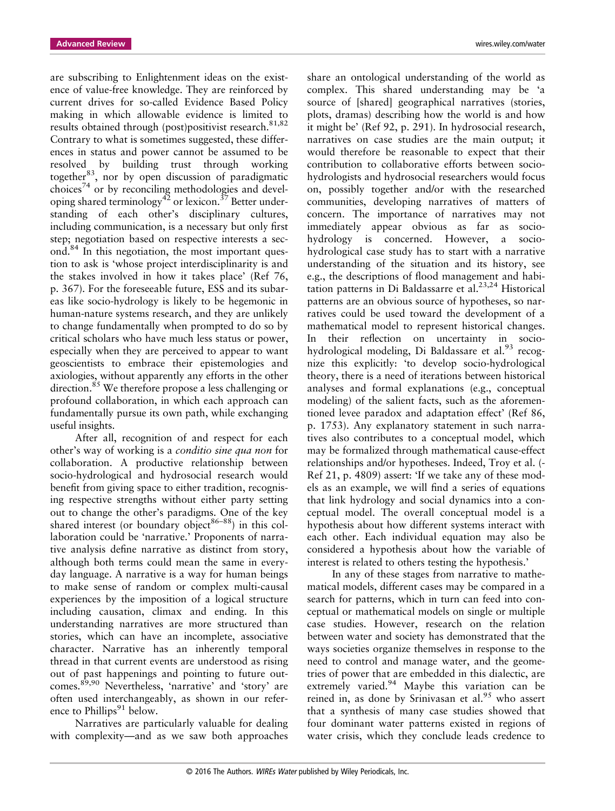are subscribing to Enlightenment ideas on the existence of value-free knowledge. They are reinforced by current drives for so-called Evidence Based Policy making in which allowable evidence is limited to results obtained through (post)positivist research.<sup>81,82</sup> Contrary to what is sometimes suggested, these differences in status and power cannot be assumed to be resolved by building trust through working together<sup>83</sup>, nor by open discussion of paradigmatic choices<sup>74</sup> or by reconciling methodologies and developing shared terminology<sup>42</sup> or lexicon.<sup>37</sup> Better understanding of each other's disciplinary cultures, including communication, is a necessary but only first step; negotiation based on respective interests a second.84 In this negotiation, the most important question to ask is 'whose project interdisciplinarity is and the stakes involved in how it takes place' (Ref 76, p. 367). For the foreseeable future, ESS and its subareas like socio-hydrology is likely to be hegemonic in human-nature systems research, and they are unlikely to change fundamentally when prompted to do so by critical scholars who have much less status or power, especially when they are perceived to appear to want geoscientists to embrace their epistemologies and axiologies, without apparently any efforts in the other direction.<sup>85</sup> We therefore propose a less challenging or profound collaboration, in which each approach can fundamentally pursue its own path, while exchanging useful insights.

After all, recognition of and respect for each other's way of working is a *conditio sine qua non* for collaboration. A productive relationship between socio-hydrological and hydrosocial research would benefit from giving space to either tradition, recognising respective strengths without either party setting out to change the other's paradigms. One of the key shared interest (or boundary object<sup>86–88</sup>) in this collaboration could be 'narrative.' Proponents of narrative analysis define narrative as distinct from story, although both terms could mean the same in everyday language. A narrative is a way for human beings to make sense of random or complex multi-causal experiences by the imposition of a logical structure including causation, climax and ending. In this understanding narratives are more structured than stories, which can have an incomplete, associative character. Narrative has an inherently temporal thread in that current events are understood as rising out of past happenings and pointing to future outcomes.89,90 Nevertheless, 'narrative' and 'story' are often used interchangeably, as shown in our reference to Phillips<sup>91</sup> below.

Narratives are particularly valuable for dealing with complexity—and as we saw both approaches

share an ontological understanding of the world as complex. This shared understanding may be 'a source of [shared] geographical narratives (stories, plots, dramas) describing how the world is and how it might be' (Ref 92, p. 291). In hydrosocial research, narratives on case studies are the main output; it would therefore be reasonable to expect that their contribution to collaborative efforts between sociohydrologists and hydrosocial researchers would focus on, possibly together and/or with the researched communities, developing narratives of matters of concern. The importance of narratives may not immediately appear obvious as far as sociohydrology is concerned. However, a sociohydrological case study has to start with a narrative understanding of the situation and its history, see e.g., the descriptions of flood management and habitation patterns in Di Baldassarre et al.<sup>23,24</sup> Historical patterns are an obvious source of hypotheses, so narratives could be used toward the development of a mathematical model to represent historical changes. In their reflection on uncertainty in sociohydrological modeling, Di Baldassare et al.<sup>93</sup> recognize this explicitly: 'to develop socio-hydrological theory, there is a need of iterations between historical analyses and formal explanations (e.g., conceptual modeling) of the salient facts, such as the aforementioned levee paradox and adaptation effect' (Ref 86, p. 1753). Any explanatory statement in such narratives also contributes to a conceptual model, which may be formalized through mathematical cause-effect relationships and/or hypotheses. Indeed, Troy et al. (- Ref 21, p. 4809) assert: 'If we take any of these models as an example, we will find a series of equations that link hydrology and social dynamics into a conceptual model. The overall conceptual model is a hypothesis about how different systems interact with each other. Each individual equation may also be considered a hypothesis about how the variable of interest is related to others testing the hypothesis.'

In any of these stages from narrative to mathematical models, different cases may be compared in a search for patterns, which in turn can feed into conceptual or mathematical models on single or multiple case studies. However, research on the relation between water and society has demonstrated that the ways societies organize themselves in response to the need to control and manage water, and the geometries of power that are embedded in this dialectic, are extremely varied.<sup>94</sup> Maybe this variation can be reined in, as done by Srinivasan et al. $95$  who assert that a synthesis of many case studies showed that four dominant water patterns existed in regions of water crisis, which they conclude leads credence to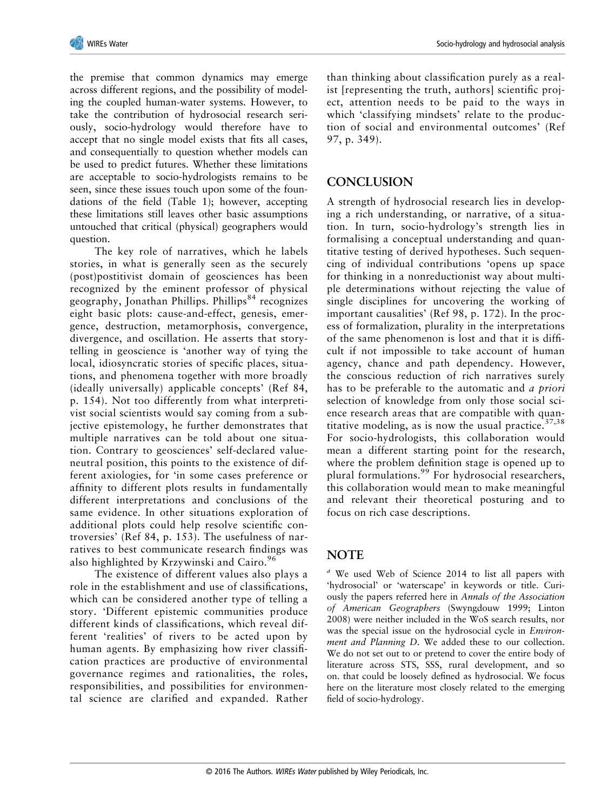the premise that common dynamics may emerge across different regions, and the possibility of modeling the coupled human-water systems. However, to take the contribution of hydrosocial research seriously, socio-hydrology would therefore have to accept that no single model exists that fits all cases, and consequentially to question whether models can be used to predict futures. Whether these limitations are acceptable to socio-hydrologists remains to be seen, since these issues touch upon some of the foundations of the field (Table 1); however, accepting these limitations still leaves other basic assumptions untouched that critical (physical) geographers would question.

The key role of narratives, which he labels stories, in what is generally seen as the securely (post)postitivist domain of geosciences has been recognized by the eminent professor of physical geography, Jonathan Phillips. Phillips<sup>84</sup> recognizes eight basic plots: cause-and-effect, genesis, emergence, destruction, metamorphosis, convergence, divergence, and oscillation. He asserts that storytelling in geoscience is 'another way of tying the local, idiosyncratic stories of specific places, situations, and phenomena together with more broadly (ideally universally) applicable concepts' (Ref 84, p. 154). Not too differently from what interpretivist social scientists would say coming from a subjective epistemology, he further demonstrates that multiple narratives can be told about one situation. Contrary to geosciences' self-declared valueneutral position, this points to the existence of different axiologies, for 'in some cases preference or affinity to different plots results in fundamentally different interpretations and conclusions of the same evidence. In other situations exploration of additional plots could help resolve scientific controversies' (Ref 84, p. 153). The usefulness of narratives to best communicate research findings was also highlighted by Krzywinski and Cairo.<sup>96</sup>

The existence of different values also plays a role in the establishment and use of classifications, which can be considered another type of telling a story. 'Different epistemic communities produce different kinds of classifications, which reveal different 'realities' of rivers to be acted upon by human agents. By emphasizing how river classification practices are productive of environmental governance regimes and rationalities, the roles, responsibilities, and possibilities for environmental science are clarified and expanded. Rather

than thinking about classification purely as a realist [representing the truth, authors] scientific project, attention needs to be paid to the ways in which 'classifying mindsets' relate to the production of social and environmental outcomes' (Ref 97, p. 349).

# **CONCLUSION**

A strength of hydrosocial research lies in developing a rich understanding, or narrative, of a situation. In turn, socio-hydrology's strength lies in formalising a conceptual understanding and quantitative testing of derived hypotheses. Such sequencing of individual contributions 'opens up space for thinking in a nonreductionist way about multiple determinations without rejecting the value of single disciplines for uncovering the working of important causalities' (Ref 98, p. 172). In the process of formalization, plurality in the interpretations of the same phenomenon is lost and that it is difficult if not impossible to take account of human agency, chance and path dependency. However, the conscious reduction of rich narratives surely has to be preferable to the automatic and *a priori* selection of knowledge from only those social science research areas that are compatible with quantitative modeling, as is now the usual practice. $37,38$ For socio-hydrologists, this collaboration would mean a different starting point for the research, where the problem definition stage is opened up to plural formulations.<sup>99</sup> For hydrosocial researchers, this collaboration would mean to make meaningful and relevant their theoretical posturing and to focus on rich case descriptions.

#### **NOTE**

*<sup>a</sup>* We used Web of Science 2014 to list all papers with 'hydrosocial' or 'waterscape' in keywords or title. Curiously the papers referred here in *Annals of the Association of American Geographers* (Swyngdouw 1999; Linton 2008) were neither included in the WoS search results, nor was the special issue on the hydrosocial cycle in *Environment and Planning D*. We added these to our collection. We do not set out to or pretend to cover the entire body of literature across STS, SSS, rural development, and so on. that could be loosely defined as hydrosocial. We focus here on the literature most closely related to the emerging field of socio-hydrology.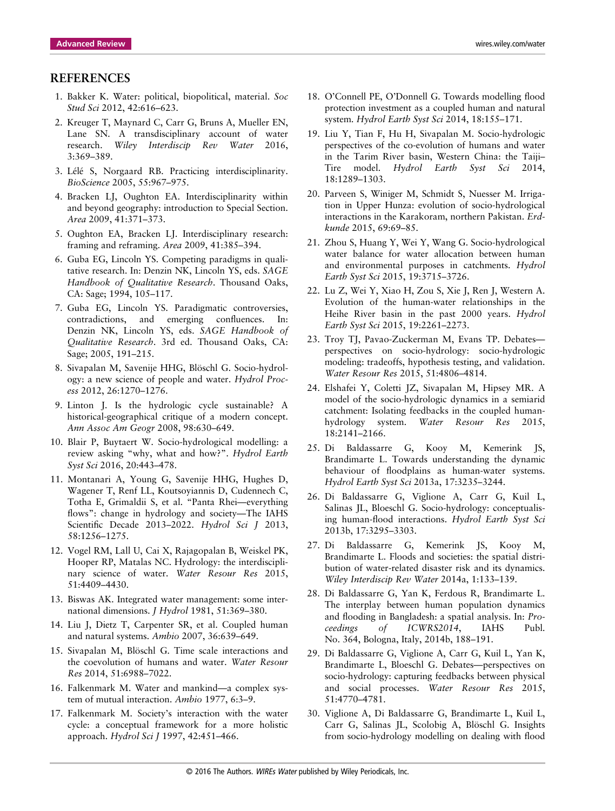- 1. Bakker K. Water: political, biopolitical, material. *Soc Stud Sci* 2012, 42:616–623.
- 2. Kreuger T, Maynard C, Carr G, Bruns A, Mueller EN, Lane SN. A transdisciplinary account of water research. *Wiley Interdiscip Rev Water* 2016, 3:369–389.
- 3. Lélé S, Norgaard RB. Practicing interdisciplinarity. *BioScience* 2005, 55:967–975.
- 4. Bracken LJ, Oughton EA. Interdisciplinarity within and beyond geography: introduction to Special Section. *Area* 2009, 41:371–373.
- 5. Oughton EA, Bracken LJ. Interdisciplinary research: framing and reframing. *Area* 2009, 41:385–394.
- 6. Guba EG, Lincoln YS. Competing paradigms in qualitative research. In: Denzin NK, Lincoln YS, eds. *SAGE Handbook of Qualitative Research*. Thousand Oaks, CA: Sage; 1994, 105–117.
- 7. Guba EG, Lincoln YS. Paradigmatic controversies, contradictions, and emerging confluences. In: Denzin NK, Lincoln YS, eds. *SAGE Handbook of Qualitative Research*. 3rd ed. Thousand Oaks, CA: Sage; 2005, 191–215.
- 8. Sivapalan M, Savenije HHG, Blöschl G. Socio-hydrology: a new science of people and water. *Hydrol Process* 2012, 26:1270–1276.
- 9. Linton J. Is the hydrologic cycle sustainable? A historical-geographical critique of a modern concept. *Ann Assoc Am Geogr* 2008, 98:630–649.
- 10. Blair P, Buytaert W. Socio-hydrological modelling: a review asking "why, what and how?". *Hydrol Earth Syst Sci* 2016, 20:443–478.
- 11. Montanari A, Young G, Savenije HHG, Hughes D, Wagener T, Renf LL, Koutsoyiannis D, Cudennech C, Totha E, Grimaldii S, et al. "Panta Rhei—everything flows": change in hydrology and society—The IAHS Scientific Decade 2013–2022. *Hydrol Sci J* 2013, 58:1256–1275.
- 12. Vogel RM, Lall U, Cai X, Rajagopalan B, Weiskel PK, Hooper RP, Matalas NC. Hydrology: the interdisciplinary science of water. *Water Resour Res* 2015, 51:4409–4430.
- 13. Biswas AK. Integrated water management: some international dimensions. *J Hydrol* 1981, 51:369–380.
- 14. Liu J, Dietz T, Carpenter SR, et al. Coupled human and natural systems. *Ambio* 2007, 36:639–649.
- 15. Sivapalan M, Blöschl G. Time scale interactions and the coevolution of humans and water. *Water Resour Res* 2014, 51:6988–7022.
- 16. Falkenmark M. Water and mankind—a complex system of mutual interaction. *Ambio* 1977, 6:3–9.
- 17. Falkenmark M. Society's interaction with the water cycle: a conceptual framework for a more holistic approach. *Hydrol Sci J* 1997, 42:451–466.
- 18. O'Connell PE, O'Donnell G. Towards modelling flood protection investment as a coupled human and natural system. *Hydrol Earth Syst Sci* 2014, 18:155–171.
- 19. Liu Y, Tian F, Hu H, Sivapalan M. Socio-hydrologic perspectives of the co-evolution of humans and water in the Tarim River basin, Western China: the Taiji– Tire model. *Hydrol Earth Syst Sci* 2014, 18:1289–1303.
- 20. Parveen S, Winiger M, Schmidt S, Nuesser M. Irrigation in Upper Hunza: evolution of socio-hydrological interactions in the Karakoram, northern Pakistan. *Erdkunde* 2015, 69:69–85.
- 21. Zhou S, Huang Y, Wei Y, Wang G. Socio-hydrological water balance for water allocation between human and environmental purposes in catchments. *Hydrol Earth Syst Sci* 2015, 19:3715–3726.
- 22. Lu Z, Wei Y, Xiao H, Zou S, Xie J, Ren J, Western A. Evolution of the human-water relationships in the Heihe River basin in the past 2000 years. *Hydrol Earth Syst Sci* 2015, 19:2261–2273.
- 23. Troy TJ, Pavao-Zuckerman M, Evans TP. Debates perspectives on socio-hydrology: socio-hydrologic modeling: tradeoffs, hypothesis testing, and validation. *Water Resour Res* 2015, 51:4806–4814.
- 24. Elshafei Y, Coletti JZ, Sivapalan M, Hipsey MR. A model of the socio-hydrologic dynamics in a semiarid catchment: Isolating feedbacks in the coupled humanhydrology system. *Water Resour Res* 2015, 18:2141–2166.
- 25. Di Baldassarre G, Kooy M, Kemerink JS, Brandimarte L. Towards understanding the dynamic behaviour of floodplains as human-water systems. *Hydrol Earth Syst Sci* 2013a, 17:3235–3244.
- 26. Di Baldassarre G, Viglione A, Carr G, Kuil L, Salinas JL, Bloeschl G. Socio-hydrology: conceptualising human-flood interactions. *Hydrol Earth Syst Sci* 2013b, 17:3295–3303.
- 27. Di Baldassarre G, Kemerink JS, Kooy M, Brandimarte L. Floods and societies: the spatial distribution of water-related disaster risk and its dynamics. *Wiley Interdiscip Rev Water* 2014a, 1:133–139.
- 28. Di Baldassarre G, Yan K, Ferdous R, Brandimarte L. The interplay between human population dynamics and flooding in Bangladesh: a spatial analysis. In: *Proceedings of ICWRS2014*, IAHS Publ. No. 364, Bologna, Italy, 2014b, 188–191.
- 29. Di Baldassarre G, Viglione A, Carr G, Kuil L, Yan K, Brandimarte L, Bloeschl G. Debates—perspectives on socio-hydrology: capturing feedbacks between physical and social processes. *Water Resour Res* 2015, 51:4770–4781.
- 30. Viglione A, Di Baldassarre G, Brandimarte L, Kuil L, Carr G, Salinas JL, Scolobig A, Blöschl G. Insights from socio-hydrology modelling on dealing with flood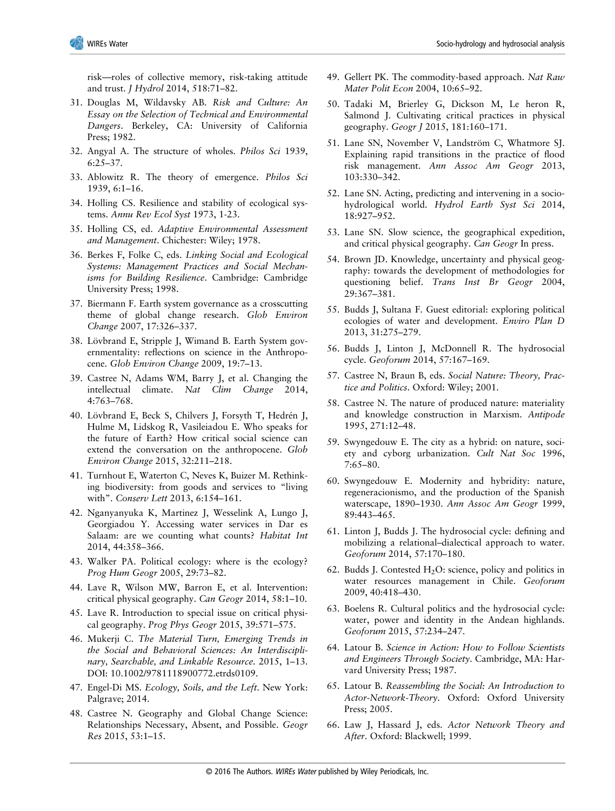risk—roles of collective memory, risk-taking attitude and trust. *J Hydrol* 2014, 518:71–82.

- 31. Douglas M, Wildavsky AB. *Risk and Culture: An Essay on the Selection of Technical and Environmental Dangers*. Berkeley, CA: University of California Press; 1982.
- 32. Angyal A. The structure of wholes. *Philos Sci* 1939, 6:25–37.
- 33. Ablowitz R. The theory of emergence. *Philos Sci* 1939, 6:1–16.
- 34. Holling CS. Resilience and stability of ecological systems. *Annu Rev Ecol Syst* 1973, 1-23.
- 35. Holling CS, ed. *Adaptive Environmental Assessment and Management*. Chichester: Wiley; 1978.
- 36. Berkes F, Folke C, eds. *Linking Social and Ecological Systems: Management Practices and Social Mechanisms for Building Resilience*. Cambridge: Cambridge University Press; 1998.
- 37. Biermann F. Earth system governance as a crosscutting theme of global change research. *Glob Environ Change* 2007, 17:326–337.
- 38. Lövbrand E, Stripple J, Wimand B. Earth System governmentality: reflections on science in the Anthropocene. *Glob Environ Change* 2009, 19:7–13.
- 39. Castree N, Adams WM, Barry J, et al. Changing the intellectual climate. *Nat Clim Change* 2014, 4:763–768.
- 40. Lövbrand E, Beck S, Chilvers J, Forsyth T, Hedrén J, Hulme M, Lidskog R, Vasileiadou E. Who speaks for the future of Earth? How critical social science can extend the conversation on the anthropocene. *Glob Environ Change* 2015, 32:211–218.
- 41. Turnhout E, Waterton C, Neves K, Buizer M. Rethinking biodiversity: from goods and services to "living with". *Conserv Lett* 2013, 6:154–161.
- 42. Nganyanyuka K, Martinez J, Wesselink A, Lungo J, Georgiadou Y. Accessing water services in Dar es Salaam: are we counting what counts? *Habitat Int* 2014, 44:358–366.
- 43. Walker PA. Political ecology: where is the ecology? *Prog Hum Geogr* 2005, 29:73–82.
- 44. Lave R, Wilson MW, Barron E, et al. Intervention: critical physical geography. *Can Geogr* 2014, 58:1–10.
- 45. Lave R. Introduction to special issue on critical physical geography. *Prog Phys Geogr* 2015, 39:571–575.
- 46. Mukerji C. *The Material Turn, Emerging Trends in the Social and Behavioral Sciences: An Interdisciplinary, Searchable, and Linkable Resource*. 2015, 1–13. DOI: 10.1002/9781118900772.etrds0109.
- 47. Engel-Di MS. *Ecology, Soils, and the Left*. New York: Palgrave; 2014.
- 48. Castree N. Geography and Global Change Science: Relationships Necessary, Absent, and Possible. *Geogr Res* 2015, 53:1–15.
- 49. Gellert PK. The commodity-based approach. *Nat Raw Mater Polit Econ* 2004, 10:65–92.
- 50. Tadaki M, Brierley G, Dickson M, Le heron R, Salmond J. Cultivating critical practices in physical geography. *Geogr J* 2015, 181:160–171.
- 51. Lane SN, November V, Landström C, Whatmore SJ. Explaining rapid transitions in the practice of flood risk management. *Ann Assoc Am Geogr* 2013, 103:330–342.
- 52. Lane SN. Acting, predicting and intervening in a sociohydrological world. *Hydrol Earth Syst Sci* 2014, 18:927–952.
- 53. Lane SN. Slow science, the geographical expedition, and critical physical geography. *Can Geogr* In press.
- 54. Brown JD. Knowledge, uncertainty and physical geography: towards the development of methodologies for questioning belief. *Trans Inst Br Geogr* 2004, 29:367–381.
- 55. Budds J, Sultana F. Guest editorial: exploring political ecologies of water and development. *Enviro Plan D* 2013, 31:275–279.
- 56. Budds J, Linton J, McDonnell R. The hydrosocial cycle. *Geoforum* 2014, 57:167–169.
- 57. Castree N, Braun B, eds. *Social Nature: Theory, Practice and Politics*. Oxford: Wiley; 2001.
- 58. Castree N. The nature of produced nature: materiality and knowledge construction in Marxism. *Antipode* 1995, 271:12–48.
- 59. Swyngedouw E. The city as a hybrid: on nature, society and cyborg urbanization. *Cult Nat Soc* 1996, 7:65–80.
- 60. Swyngedouw E. Modernity and hybridity: nature, regeneracionismo, and the production of the Spanish waterscape, 1890–1930. *Ann Assoc Am Geogr* 1999, 89:443–465.
- 61. Linton J, Budds J. The hydrosocial cycle: defining and mobilizing a relational–dialectical approach to water. *Geoforum* 2014, 57:170–180.
- 62. Budds J. Contested  $H_2O$ : science, policy and politics in water resources management in Chile. *Geoforum* 2009, 40:418–430.
- 63. Boelens R. Cultural politics and the hydrosocial cycle: water, power and identity in the Andean highlands. *Geoforum* 2015, 57:234–247.
- 64. Latour B. *Science in Action: How to Follow Scientists and Engineers Through Society*. Cambridge, MA: Harvard University Press; 1987.
- 65. Latour B. *Reassembling the Social: An Introduction to Actor-Network-Theory*. Oxford: Oxford University Press; 2005.
- 66. Law J, Hassard J, eds. *Actor Network Theory and After*. Oxford: Blackwell; 1999.